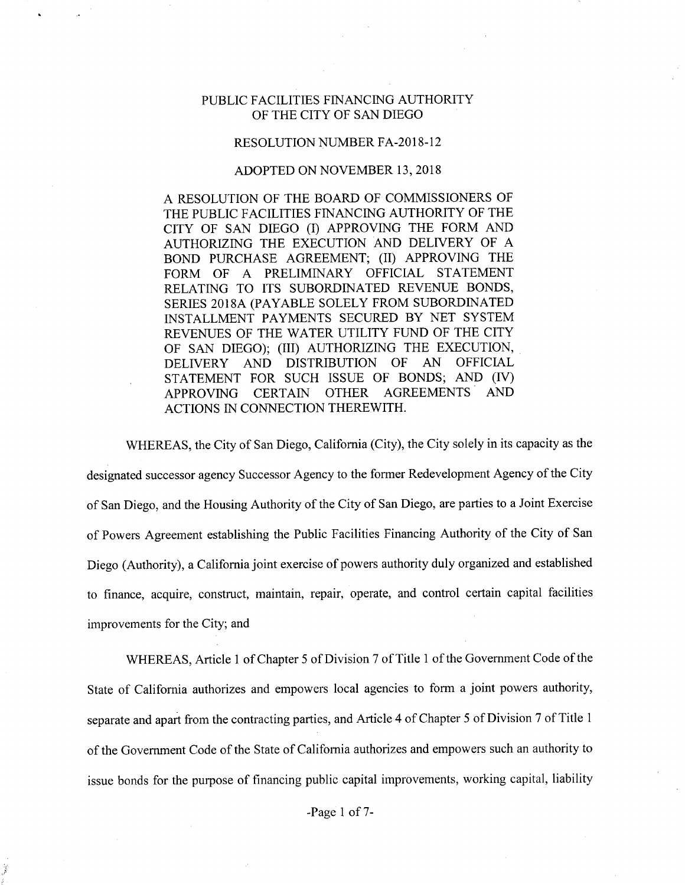## PUBLIC FACILITIES FINANCING AUTHORITY OF THE CITY OF SAN DIEGO

## RESOLUTION NUMBER FA-2018-12

## ADOPTED ON NOVEMBER 13, 2018

A RESOLUTION OF THE BOARD OF COMMISSIONERS OF THE PUBLIC FACILITIES FINANCING AUTHORITY OF THE CITY OF SAN DIEGO (I) APPROVING THE FORM AND AUTHORIZING THE EXECUTION AND DELIVERY OF A BOND PURCHASE AGREEMENT; (II) APPROVING THE FORM OF A PRELIMINARY OFFICIAL STATEMENT RELATING TO ITS SUBORDINATED REVENUE BONDS, SERIES 2018A (PAYABLE SOLELY FROM SUBORDINATED INSTALLMENT PAYMENTS SECURED BY NET SYSTEM REVENUES OF THE WATER UTILITY FUND OF THE CITY OF SAN DIEGO); (III) AUTHORIZING THE EXECUTION,<br>DELIVERY AND DISTRIBUTION OF AN OFFICIAL DELIVERY AND DISTRIBUTION OF AN OFFICIAL STATEMENT FOR SUCH ISSUE OF BONDS; AND (IV) APPROVING CERTAIN OTHER AGREEMENTS AND ACTIONS IN CONNECTION THEREWITH.

WHEREAS, the City of San Diego, California (City), the City solely in its capacity as the designated successor agency Successor Agency to the former Redevelopment Agency of the City of San Diego, and the Housing Authority of the City of San Diego, are parties to a Joint Exercise of Powers Agreement establishing the Public Facilities Financing Authority of the City of San Diego (Authority), a California joint exercise of powers authority duly organized and established to finance, acquire, construct, maintain, repair, operate, and control certain capital facilities improvements for the City; and

WHEREAS, Article 1 of Chapter 5 of Division 7 of Title 1 of the Government Code of the State of California authorizes and empowers local agencies to form a joint powers authority, separate and apart from the contracting parties, and Article 4 of Chapter 5 of Division 7 of Title 1 of the Government Code of the State of California authorizes and empowers such an authority to issue bonds for the purpose of financing public capital improvements, working capital, liability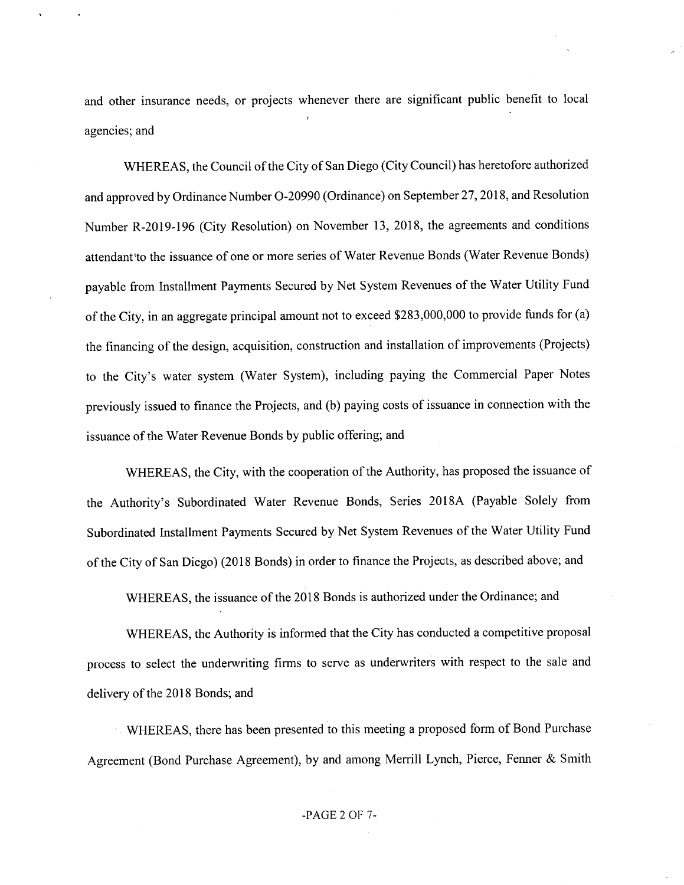and other insurance needs, or projects whenever there are significant public benefit to local agencies; and

WHEREAS, the Council of the City of San Diego (City Council) has heretofore authorized and approved by Ordinance Number 0-20990 (Ordinance) on September 27, 2018, and Resolution Number R-2019-196 (City Resolution) on November 13, 2018, the agreements and conditions attendant'to the issuance of one or more series ofWater Revenue Bonds (Water Revenue Bonds) payable from Installment Payments Secured by Net System Revenues of the Water Utility Fund of the City, in an aggregate principal amount not to exceed \$283,000,000 to provide funds for (a) the financing of the design, acquisition, construction and installation of improvements (Projects) to the City's water system (Water System), including paying the Commercial Paper Notes previously issued to finance the Projects, and (b) paying costs of issuance in connection with the issuance of the Water Revenue Bonds by public offering; and

WHEREAS, the City, with the cooperation of the Authority, has proposed the issuance of the Authority's Subordinated Water Revenue Bonds, Series 2018A (Payable Solely from Subordinated Installment Payments Secured by Net System Revenues of the Water Utility Fund of the City of San Diego) (2018 Bonds) in order to finance the Projects, as described above; and

WHEREAS, the issuance of the 2018 Bonds is authorized under the Ordinance; and

WHEREAS, the Authority is informed that the City has conducted a competitive proposal process to select the underwriting firms to serve as underwriters with respect to the sale and delivery of the 2018 Bonds; and

WHEREAS, there has been presented to this meeting a proposed form of Bond Purchase Agreement (Bond Purchase Agreement), by and among Merrill Lynch, Pierce, Fenner & Smith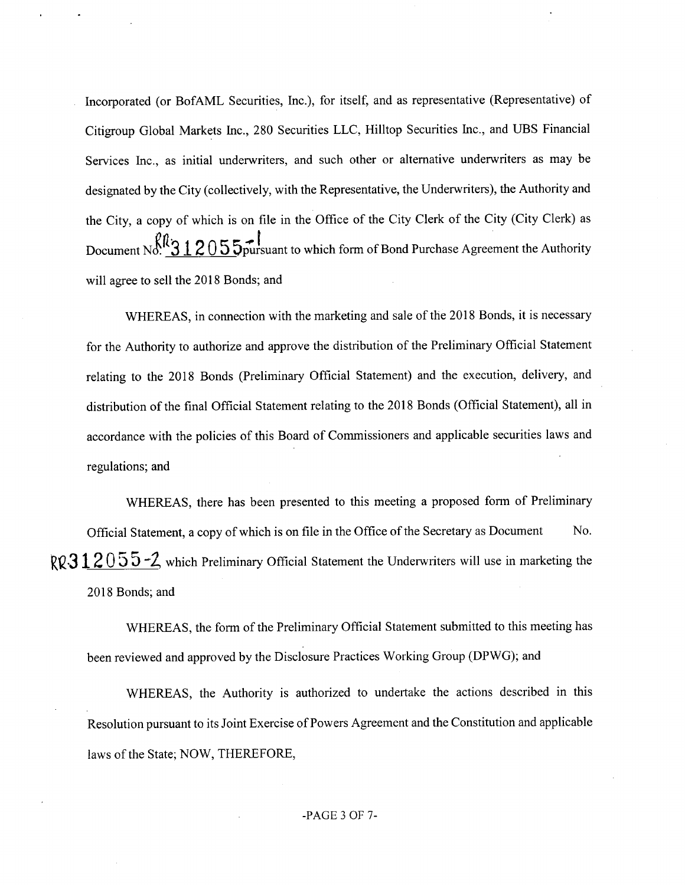Incorporated (or BofAML Securities, Inc.), for itself, and as representative (Representative) of Citigroup Global Markets Inc., 280 Securities LLC, Hilltop Securities Inc., and UBS Financial Services Inc., as initial underwriters, and such other or alternative underwriters as may be designated by the City (collectively, with the Representative, the Underwriters), the Authority and the City, a copy of which is on file in the Office of the City Clerk of the City (City Clerk) as Document No.  $\beta_{0.5}^{\beta_{0.3}}$  1205 5 $\beta_{0.5}^{\gamma_{0.5}}$  surface Bond Purchase Agreement the Authority will agree to sell the 2018 Bonds; and

WHEREAS, in connection with the marketing and sale of the 2018 Bonds, it is necessary for the Authority to authorize and approve the distribution of the Preliminary Official Statement relating to the 2018 Bonds (Preliminary Official Statement) and the execution, delivery, and distribution of the final Official Statement relating to the 2018 Bonds (Official Statement), all in accordance with the policies of this Board of Commissioners and applicable securities laws and regulations; and

WHEREAS, there has been presented to this meeting a proposed form of Preliminary Official Statement, a copy of which is on file in the Office of the Secretary as Document No. RQ31 2 0 5 5  $-2$  which Preliminary Official Statement the Underwriters will use in marketing the 2018 Bonds; and

WHEREAS, the form of the Preliminary Official Statement submitted to this meeting has been reviewed and approved by the Disclosure Practices Working Group (DPWG); and

WHEREAS, the Authority is authorized to undertake the actions described in this Resolution pursuant to its Joint Exercise of Powers Agreement and the Constitution and applicable laws of the State; NOW, THEREFORE,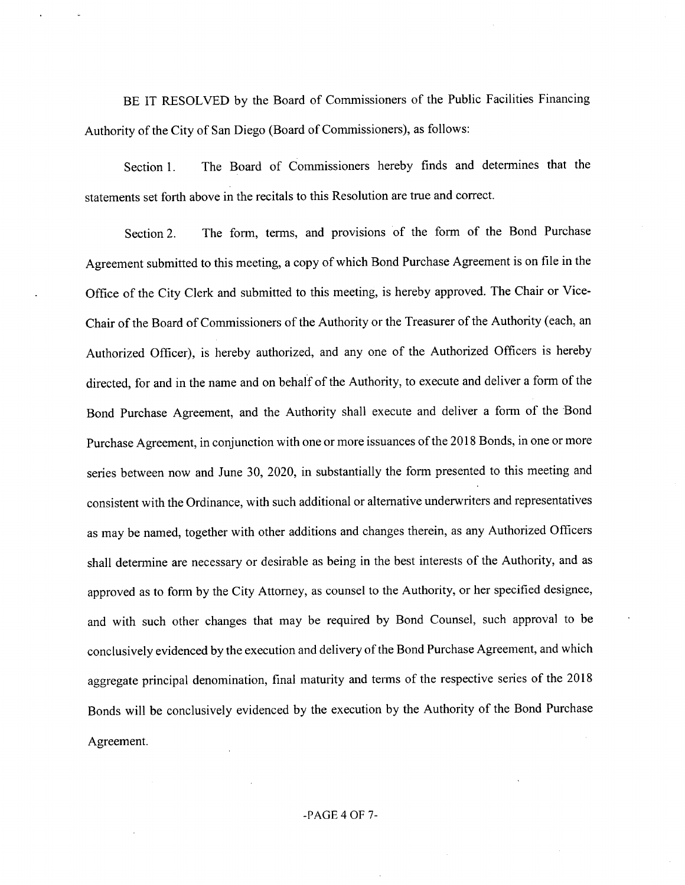BE IT RESOLVED by the Board of Commissioners of the Public Facilities Financing Authority of the City of San Diego (Board of Commissioners), as follows:

Section 1. The Board of Commissioners hereby finds and determines that the statements set forth above in the recitals to this Resolution are true and correct.

Section 2. The form, terms, and provisions of the form of the Bond Purchase Agreement submitted to this meeting, a copy of which Bond Purchase Agreement is on file in the Office of the City Clerk and submitted to this meeting, is hereby approved. The Chair or Vice-Chair of the Board of Commissioners of the Authority or the Treasurer of the Authority (each, an Authorized Officer), is hereby authorized, and any one of the Authorized Officers is hereby directed, for and in the name and on behalf of the Authority, to execute and deliver a form of the Bond Purchase Agreement, and the Authority shall execute and deliver a form of the Bond Purchase Agreement, in conjunction with one or more issuances of the 2018 Bonds, in one or more series between now and June 30, 2020, in substantially the form presented to this meeting and consistent with the Ordinance, with such additional or alternative underwriters and representatives as may be named, together with other additions and changes therein, as any Authorized Officers shall determine are necessary or desirable as being in the best interests of the Authority, and as approved as to form by the City Attorney, as counsel to the Authority, or her specified designee, and with such other changes that may be required by Bond Counsel, such approval to be conclusively evidenced by the execution and delivery of the Bond Purchase Agreement, and which aggregate principal denomination, final maturity and terms of the respective series of the 2018 Bonds will be conclusively evidenced by the execution by the Authority of the Bond Purchase Agreement.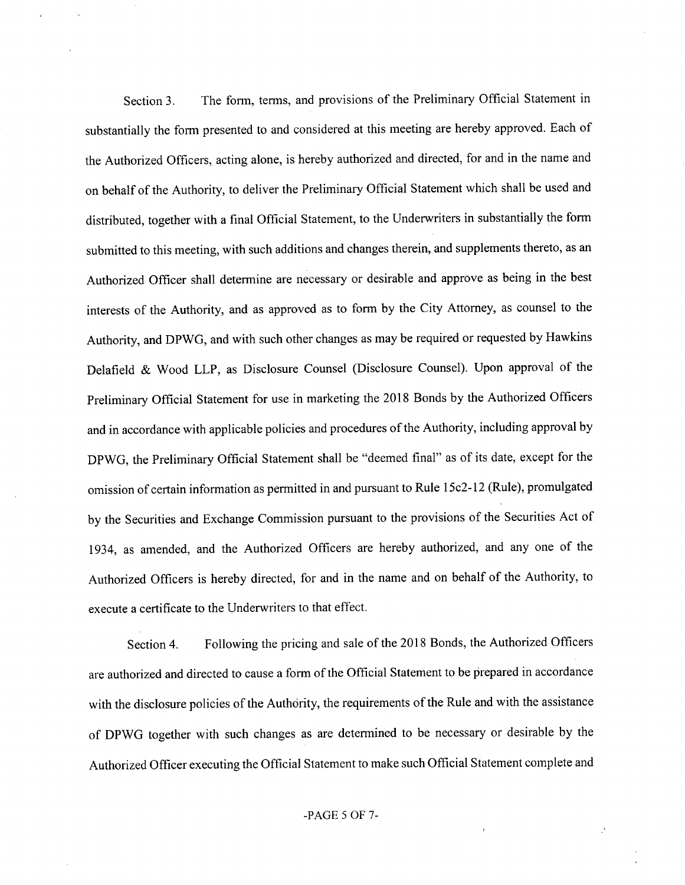Section 3. The form, terms, and provisions of the Preliminary Official Statement in substantially the form presented to and considered at this meeting are hereby approved. Each of the Authorized Officers, acting alone, is hereby authorized and directed, for and in the name and on behalf of the Authority, to deliver the Preliminary Official Statement which shall be used and distributed, together with a final Official Statement, to the Underwriters in substantially the form submitted to this meeting, with such additions and changes therein, and supplements thereto, as an Authorized Officer shall determine are necessary or desirable and approve as being in the best interests of the Authority, and as approved as to form by the City Attorney, as counsel to the Authority, and DPWG, and with such other changes as may be required or requested by Hawkins Delafield & Wood LLP, as Disclosure Counsel (Disclosure Counsel). Upon approval of the Preliminary Official Statement for use in marketing the 2018 Bonds by the Authorized Officers and in accordance with applicable policies and procedures of the Authority, including approval by DPWG, the Preliminary Official Statement shall be "deemed final" as of its date, except for the omission of certain information as permitted in and pursuant to Rule 15c2-12 (Rule), promulgated by the Securities and Exchange Commission pursuant to the provisions of the Securities Act of 1934, as amended, and the Authorized Officers are hereby authorized, and any one of the Authorized Officers is hereby directed, for and in the name and on behalf of the Authority, to execute a certificate to the Underwriters to that effect.

Section 4. Following the pricing and sale of the 2018 Bonds, the Authorized Officers are authorized and directed to cause a form of the Official Statement to be prepared in accordance with the disclosure policies of the Authority, the requirements of the Rule and with the assistance of DPWG together with such changes as are determined to be necessary or desirable by the Authorized Officer executing the Official Statement to make such Official Statement complete and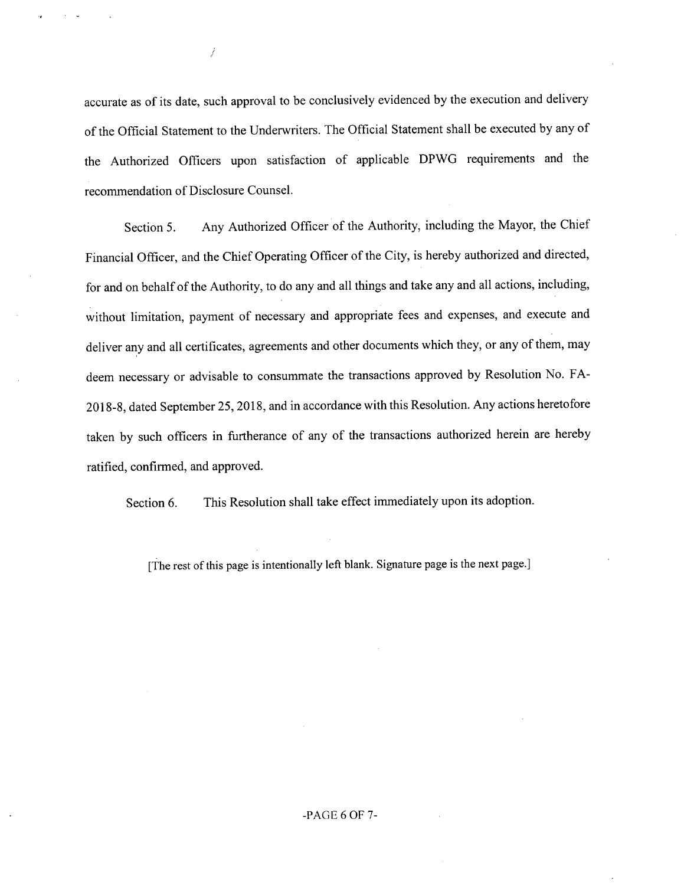accurate as of its date, such approval to be conclusively evidenced by the execution and delivery of the Official Statement to the Underwriters. The Official Statement shall be executed by any of the Authorized Officers upon satisfaction of applicable DPWG requirements and the recommendation of Disclosure Counsel.

 $\overline{1}$ 

Section 5. Any Authorized Officer of the Authority, including the Mayor, the Chief Financial Officer, and the Chief Operating Officer of the City, is hereby authorized and directed, for and on behalf of the Authority, to do any and all things and take any and all actions, including, without limitation, payment of necessary and appropriate fees and expenses, and execute and deliver any and all certificates, agreements and other documents which they, or any of them, may deem necessary or advisable to consummate the transactions approved by Resolution No. FA-2018-8, dated September 25, 2018, and in accordance with this Resolution. Any actions heretofore taken by such officers in furtherance of any of the transactions authorized herein are hereby ratified, confirmed, and approved.

Section 6. This Resolution shall take effect immediately upon its adoption.

[The rest of this page is intentionally left blank. Signature page is the next page.]